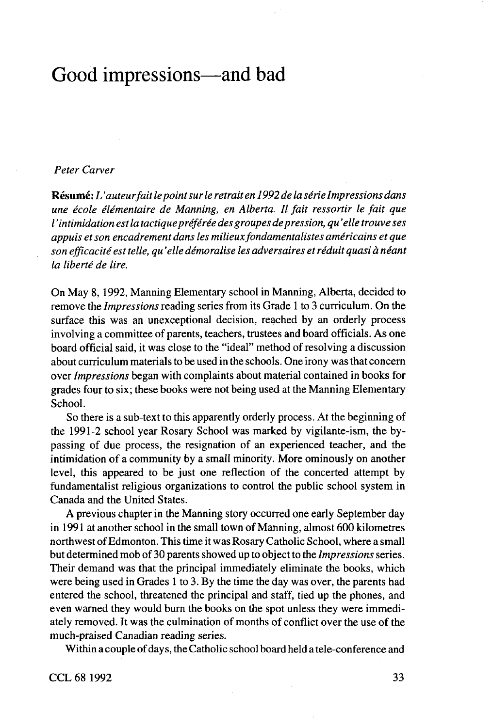## Good impressions—and bad

## *Peter Carver*

**Resume:** *L 'auteurfait Ie point sur Ie retrait en 1992 de la serie Impressions dans une ecole elementaire de Manning, en Alberta. II fait ressortir Ie fait que I 'intimidation est la tactiquepreferee des groupes depression, qu 'elle trouve ses appuis et son encadrement dans les milieux fondamentalistes americains et que son efficacite est telle, qu 'elle demoralise les adversaires et reduit quasi a neant la liberte de lire.*

On May 8,1992, Manning Elementary school in Manning, Alberta, decided to remove the *Impressions* reading series from its Grade 1 to 3 curriculum. On the surface this was an unexceptional decision, reached by an orderly process involving a committee of parents, teachers, trustees and board officials. As one board official said, it was close to the "ideal" method of resolving a discussion about curriculum materials to be used in the schools. One irony was that concern over *Impressions* began with complaints about material contained in books for grades four to six; these books were not being used at the Manning Elementary School.

So there is a sub-text to this apparently orderly process. At the beginning of the 1991-2 school year Rosary School was marked by vigilante-ism, the bypassing of due process, the resignation of an experienced teacher, and the intimidation of a community by a small minority. More ominously on another level, this appeared to be just one reflection of the concerted attempt by fundamentalist religious organizations to control the public school system in Canada and the United States.

A previous chapter in the Manning story occurred one early September day in 1991 at another school in the small town of Manning, almost 600 kilometres northwest ofEdmonton. This time it was Rosary Catholic School, where a small but determined mob of 30 parents showed up to object to the *Impressions* series. Their demand was that the principal immediately eliminate the books, which were being used in Grades 1 to 3. By the time the day was over, the parents had entered the school, threatened the principal and staff, tied up the phones, and even warned they would burn the books on the spot unless they were immediately removed. It was the culmination of months of conflict over the use of the much-praised Canadian reading series.

Within a couple of days, the Catholic school board held a tele-conference and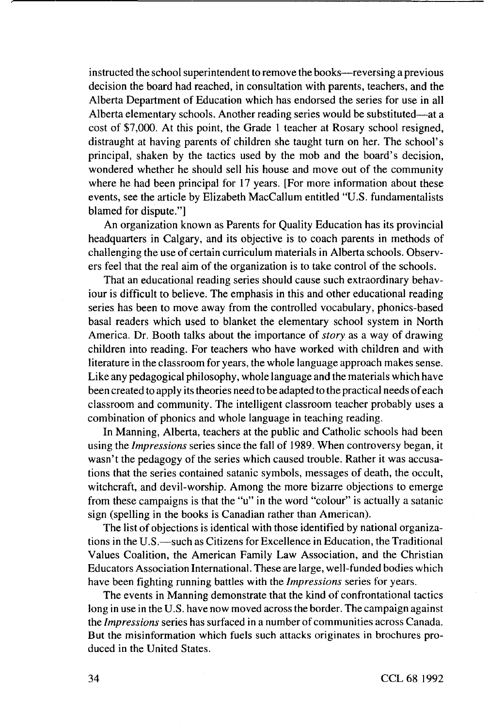instructed the school superintendent to remove the books—reversing a previous decision the board had reached, in consultation with parents, teachers, and the Alberta Department of Education which has endorsed the series for use in all Alberta elementary schools. Another reading series would be substituted—at a cost of \$7,000. At this point, the Grade 1 teacher at Rosary school resigned, distraught at having parents of children she taught turn on her. The school's principal, shaken by the tactics used by the mob and the board's decision, wondered whether he should sell his house and move out of the community where he had been principal for 17 years. [For more information about these events, see the article by Elizabeth MacCallum entitled "U.S. fundamentalists blamed for dispute."]

An organization known as Parents for Quality Education has its provincial headquarters in Calgary, and its objective is to coach parents in methods of challenging the use of certain curriculum materials in Alberta schools. Observers feel that the real aim of the organization is to take control of the schools.

That an educational reading series should cause such extraordinary behaviour is difficult to believe. The emphasis in this and other educational reading series has been to move away from the controlled vocabulary, phonics-based basal readers which used to blanket the elementary school system in North America. Dr. Booth talks about the importance of *story* as a way of drawing children into reading. For teachers who have worked with children and with literature in the classroom for years, the whole language approach makes sense. Like any pedagogical philosophy, whole language and the materials which have been created to apply its theories need to be adapted to the practical needs of each classroom and community. The intelligent classroom teacher probably uses a combination of phonics and whole language in teaching reading.

In Manning, Alberta, teachers at the public and Catholic schools had been using the *Impressions* series since the fall of 1989. When controversy began, it wasn't the pedagogy of the series which caused trouble. Rather it was accusations that the series contained satanic symbols, messages of death, the occult, witchcraft, and devil-worship. Among the more bizarre objections to emerge from these campaigns is that the "u" in the word "colour" is actually a satanic sign (spelling in the books is Canadian rather than American).

The list of objections is identical with those identified by national organizations in the U.S.—such as Citizens for Excellence in Education, the Traditional Values Coalition, the American Family Law Association, and the Christian Educators Association International. These are large, well-funded bodies which have been fighting running battles with the *Impressions* series for years.

The events in Manning demonstrate that the kind of confrontational tactics long in use in the U.S. have now moved across the border. The campaign against the *Impressions* series has surfaced in a number of communities across Canada. But the misinformation which fuels such attacks originates in brochures produced in the United States.